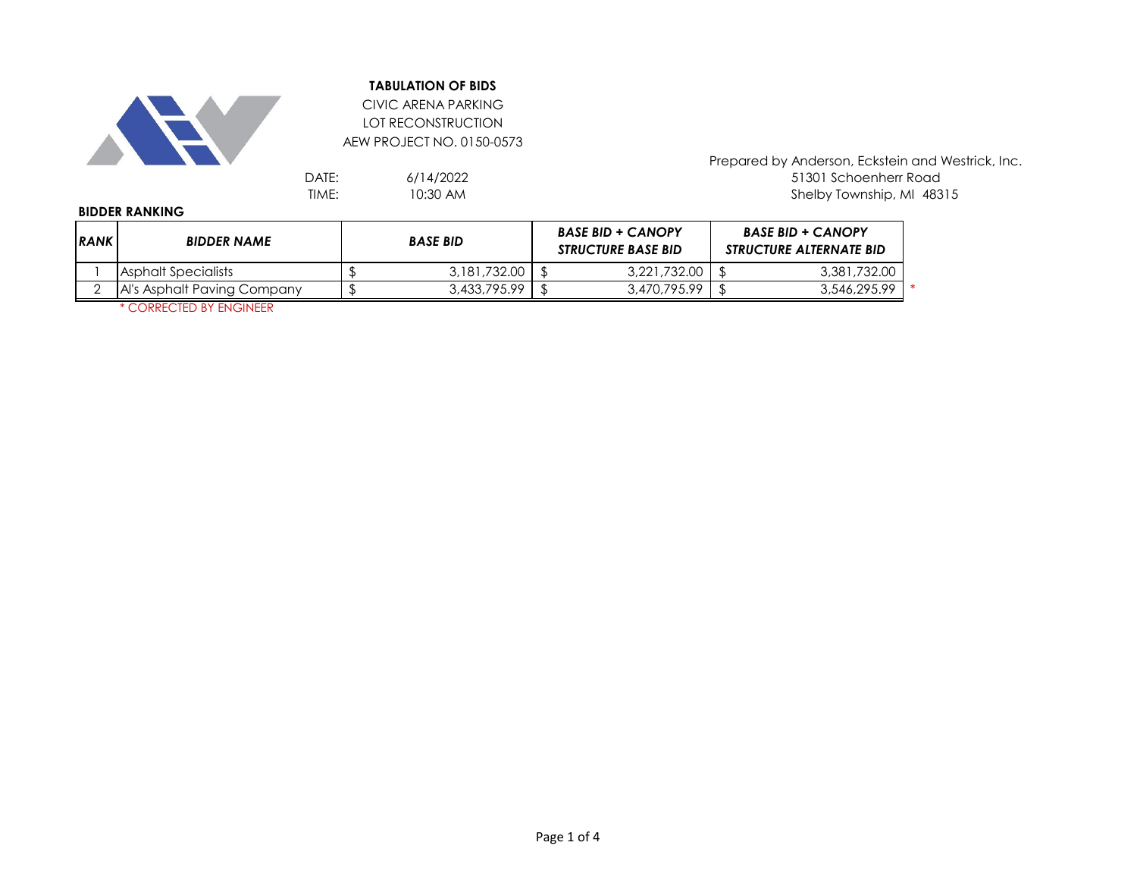

CIVIC ARENA PARKING LOT RECONSTRUCTION AEW PROJECT NO. 0150-0573

6/14/2022 10:30 AM

Prepared by Anderson, Eckstein and Westrick, Inc. DATE: 6/14/2022<br>TIME: 51301 Schoenherr Road<br>TIME: 10:30 AM 5100 10:30 AM 51201 2010 Shelby Township, MI 48315

#### **BIDDER RANKING**

| <b>IRANK</b> | <b>BIDDER NAME</b>          | <b>BASE BID</b> |              |  | <b>BASE BID + CANOPY</b><br><b>STRUCTURE BASE BID</b> |  | <b>BASE BID + CANOPY</b><br><b>STRUCTURE ALTERNATE BID</b> |  |  |
|--------------|-----------------------------|-----------------|--------------|--|-------------------------------------------------------|--|------------------------------------------------------------|--|--|
|              | Asphalt Specialists         |                 | 3,181,732.00 |  | 3.221.732.00                                          |  | 3,381,732.00                                               |  |  |
|              | Al's Asphalt Paving Company |                 | 3,433,795.99 |  | 3,470,795.99                                          |  | 3,546,295.99                                               |  |  |

\* CORRECTED BY ENGINEER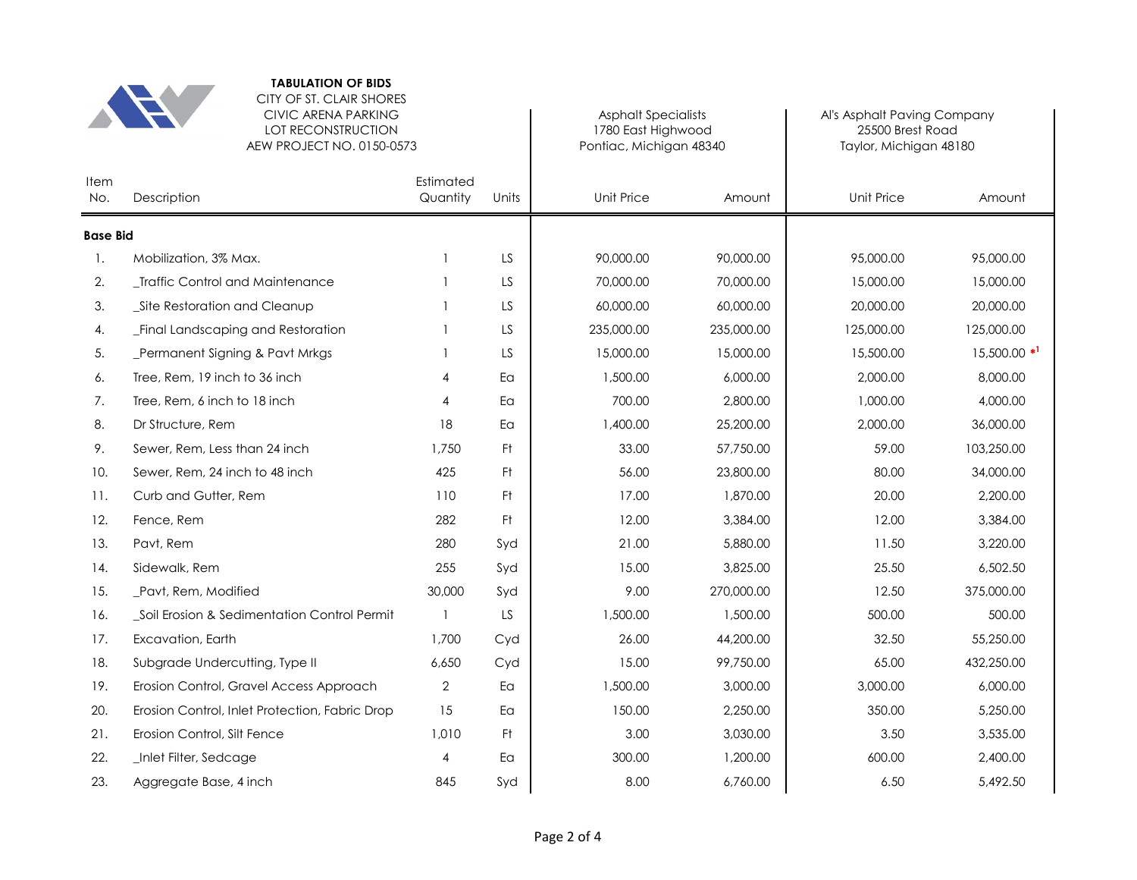

CITY OF ST. CLAIR SHORES CIVIC ARENA PARKING LOT RECONSTRUCTION

|                 | LOT RECONSTRUCTION<br>AEW PROJECT NO. 0150-0573 | 1780 East Highwood<br>Pontiac, Michigan 48340 |           | 25500 Brest Road<br>Taylor, Michigan 48180 |            |            |                            |
|-----------------|-------------------------------------------------|-----------------------------------------------|-----------|--------------------------------------------|------------|------------|----------------------------|
| Item<br>No.     | Estimated<br>Quantity<br>Description            |                                               | Units     | <b>Unit Price</b>                          | Amount     | Unit Price | Amount                     |
| <b>Base Bid</b> |                                                 |                                               |           |                                            |            |            |                            |
| 1.              | Mobilization, 3% Max.                           | $\mathbf{1}$                                  | LS.       | 90,000.00                                  | 90,000.00  | 95,000.00  | 95,000.00                  |
| 2.              | _Traffic Control and Maintenance                |                                               | LS        | 70,000.00                                  | 70,000.00  | 15,000.00  | 15,000.00                  |
| 3.              | _Site Restoration and Cleanup                   | 1                                             | LS        | 60,000.00                                  | 60,000.00  | 20,000.00  | 20,000.00                  |
| 4.              | _Final Landscaping and Restoration              |                                               | LS        | 235,000.00                                 | 235,000.00 | 125,000.00 | 125,000.00                 |
| 5.              | Permanent Signing & Pavt Mrkgs                  | 1                                             | <b>LS</b> | 15,000.00                                  | 15,000.00  | 15,500.00  | $15,500.00$ * <sup>1</sup> |
| 6.              | Tree, Rem, 19 inch to 36 inch                   | 4                                             | Ea        | 1,500.00                                   | 6,000.00   | 2,000.00   | 8,000.00                   |
| 7.              | Tree, Rem, 6 inch to 18 inch                    | 4                                             | Ea        | 700.00                                     | 2,800.00   | 1,000.00   | 4.000.00                   |
| 8.              | Dr Structure, Rem                               | 18                                            | Ea        | 1,400.00                                   | 25,200.00  | 2,000.00   | 36,000.00                  |
| 9.              | Sewer, Rem, Less than 24 inch                   | 1,750                                         | Ft.       | 33.00                                      | 57,750.00  | 59.00      | 103,250.00                 |
| 10.             | Sewer, Rem, 24 inch to 48 inch                  | 425                                           | Ft.       | 56.00                                      | 23,800.00  | 80.00      | 34,000.00                  |
| 11.             | Curb and Gutter, Rem                            | 110                                           | Ft.       | 17.00                                      | 1,870.00   | 20.00      | 2,200.00                   |
| 12.             | Fence, Rem                                      | 282                                           | Ft.       | 12.00                                      | 3,384.00   | 12.00      | 3,384.00                   |
| 13.             | Pavt, Rem                                       | 280                                           | Syd       | 21.00                                      | 5,880.00   | 11.50      | 3,220.00                   |
| 14.             | Sidewalk, Rem                                   | 255                                           | Syd       | 15.00                                      | 3,825.00   | 25.50      | 6,502.50                   |
| 15.             | Pavt, Rem, Modified                             | 30,000                                        | Syd       | 9.00                                       | 270,000.00 | 12.50      | 375,000.00                 |
| 16.             | _Soil Erosion & Sedimentation Control Permit    |                                               | LS        | 1,500.00                                   | 1,500.00   | 500.00     | 500.00                     |
| 17.             | Excavation, Earth                               | 1,700                                         | Cyd       | 26.00                                      | 44,200.00  | 32.50      | 55,250.00                  |
| 18.             | Subgrade Undercutting, Type II                  | 6,650                                         | Cyd       | 15.00                                      | 99,750.00  | 65.00      | 432,250.00                 |
| 19.             | Erosion Control, Gravel Access Approach         | 2                                             | Eα        | 1,500.00                                   | 3,000.00   | 3,000.00   | 6,000.00                   |
| 20.             | Erosion Control, Inlet Protection, Fabric Drop  | 15                                            | Ea        | 150.00                                     | 2,250.00   | 350.00     | 5,250.00                   |
| 21.             | Erosion Control, Silt Fence                     | 1,010                                         | -Ft       | 3.00                                       | 3,030.00   | 3.50       | 3,535.00                   |
| 22.             | Inlet Filter, Sedcage                           | 4                                             | Ea        | 300.00                                     | 1,200.00   | 600.00     | 2,400.00                   |
| 23.             | Aggregate Base, 4 inch                          | 845                                           | Syd       | 8.00                                       | 6,760.00   | 6.50       | 5,492.50                   |

 $\mathbf{I}$ 

Asphalt Specialists **Ally Allack** Al's Asphalt Paving Company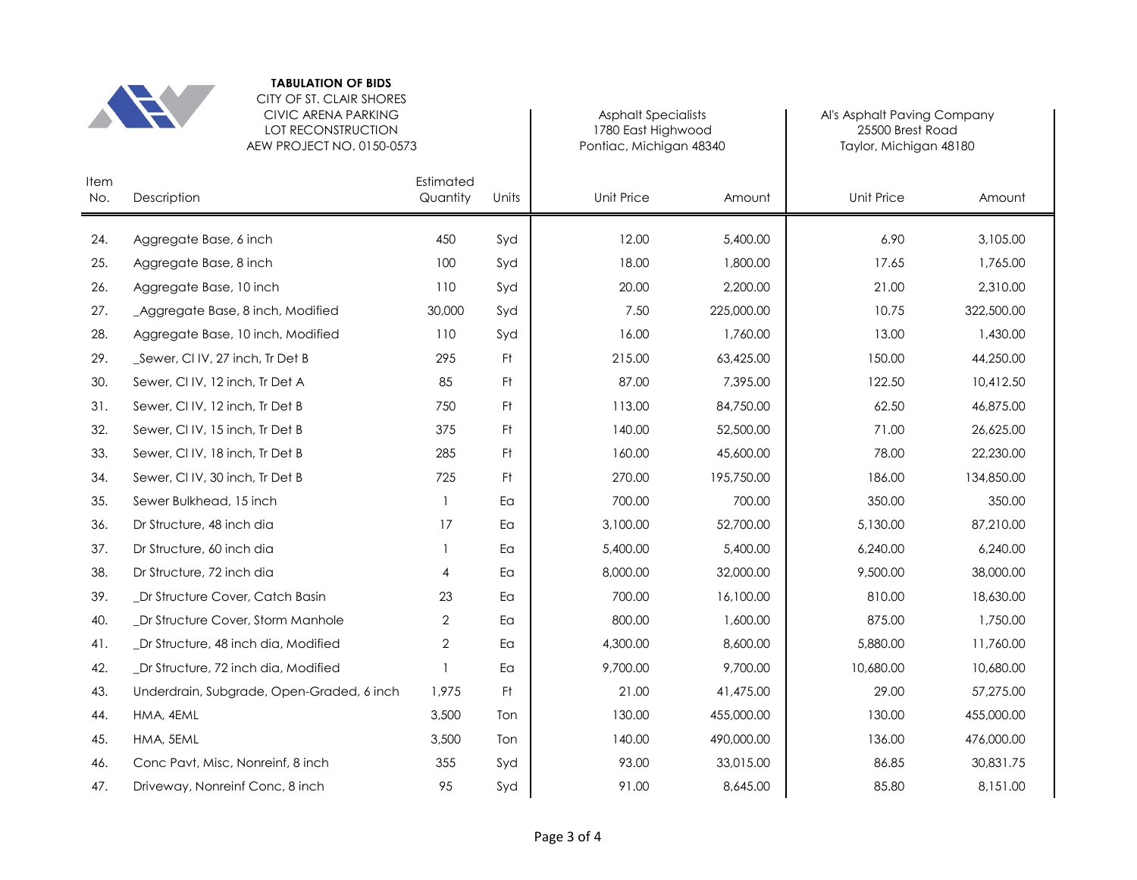

# CITY OF ST. CLAIR SHORES CIVIC ARENA PARKING LOT RECONSTRUCTION

|             | AEW PROJECT NO. 0150-0573                 |                       |                | Pontiac, Michigan 48340 |            | Taylor, Michigan 48180 |            |  |
|-------------|-------------------------------------------|-----------------------|----------------|-------------------------|------------|------------------------|------------|--|
| Item<br>No. | Description                               | Estimated<br>Quantity | Units          | Unit Price              | Amount     | <b>Unit Price</b>      | Amount     |  |
| 24.         | Aggregate Base, 6 inch                    | 450                   | Syd            | 12.00                   | 5,400.00   | 6.90                   | 3,105.00   |  |
| 25.         | Aggregate Base, 8 inch                    | 100                   | Syd            | 18.00                   | 1,800.00   | 17.65                  | 1,765.00   |  |
| 26.         | Aggregate Base, 10 inch                   | 110                   | Syd            | 20.00                   | 2,200.00   | 21.00                  | 2,310.00   |  |
| 27.         | _Aggregate Base, 8 inch, Modified         | 30,000                | Syd            | 7.50                    | 225,000.00 | 10.75                  | 322,500.00 |  |
| 28.         | Aggregate Base, 10 inch, Modified         | 110                   | Syd            | 16.00                   | 1,760.00   | 13.00                  | 1,430.00   |  |
| 29.         | _Sewer, CI IV, 27 inch, Tr Det B          | 295                   | F <sup>†</sup> | 215.00                  | 63,425.00  | 150.00                 | 44,250.00  |  |
| 30.         | Sewer, CI IV, 12 inch, Tr Det A           | 85                    | Ft.            | 87.00                   | 7,395.00   | 122.50                 | 10,412.50  |  |
| 31.         | Sewer, CIIV, 12 inch, Tr Det B            | 750                   | Ft.            | 113.00                  | 84,750.00  | 62.50                  | 46,875.00  |  |
| 32.         | Sewer, CIIV, 15 inch, Tr Det B            | 375                   | Ft             | 140.00                  | 52,500.00  | 71.00                  | 26,625.00  |  |
| 33.         | Sewer, CI IV, 18 inch, Tr Det B           | 285                   | Ft             | 160.00                  | 45,600.00  | 78.00                  | 22,230.00  |  |
| 34.         | Sewer, CI IV, 30 inch, Tr Det B           | 725                   | Ft             | 270.00                  | 195,750.00 | 186.00                 | 134,850.00 |  |
| 35.         | Sewer Bulkhead, 15 inch                   |                       | Ea             | 700.00                  | 700.00     | 350.00                 | 350.00     |  |
| 36.         | Dr Structure, 48 inch dia                 | 17                    | Ea             | 3,100.00                | 52,700.00  | 5,130.00               | 87,210.00  |  |
| 37.         | Dr Structure, 60 inch dia                 |                       | Ea             | 5,400.00                | 5,400.00   | 6,240.00               | 6,240.00   |  |
| 38.         | Dr Structure, 72 inch dia                 | 4                     | Ea             | 8,000.00                | 32,000.00  | 9,500.00               | 38,000.00  |  |
| 39.         | Dr Structure Cover, Catch Basin           | 23                    | Ea             | 700.00                  | 16,100.00  | 810.00                 | 18,630.00  |  |
| 40.         | Dr Structure Cover, Storm Manhole         | 2                     | Ea             | 800.00                  | 1,600.00   | 875.00                 | 1,750.00   |  |
| 41.         | _Dr Structure, 48 inch dia, Modified      | 2                     | Ea             | 4,300.00                | 8,600.00   | 5,880.00               | 11,760.00  |  |
| 42.         | _Dr Structure, 72 inch dia, Modified      |                       | Ea             | 9,700.00                | 9,700.00   | 10,680.00              | 10,680.00  |  |
| 43.         | Underdrain, Subgrade, Open-Graded, 6 inch | 1,975                 | F <sup>†</sup> | 21.00                   | 41,475.00  | 29.00                  | 57,275.00  |  |
| 44.         | HMA, 4EML                                 | 3,500                 | Ton            | 130.00                  | 455,000.00 | 130.00                 | 455,000.00 |  |
| 45.         | HMA, 5EML                                 | 3,500                 | Ton            | 140.00                  | 490,000.00 | 136.00                 | 476,000.00 |  |
| 46.         | Conc Pavt, Misc, Nonreinf, 8 inch         | 355                   | Syd            | 93.00                   | 33,015.00  | 86.85                  | 30,831.75  |  |
| 47.         | Driveway, Nonreinf Conc, 8 inch           | 95                    | Syd            | 91.00                   | 8,645.00   | 85.80                  | 8,151.00   |  |

1780 East Highwood 25500 Brest Road

Asphalt Specialists **Ally Allack** Al's Asphalt Paving Company